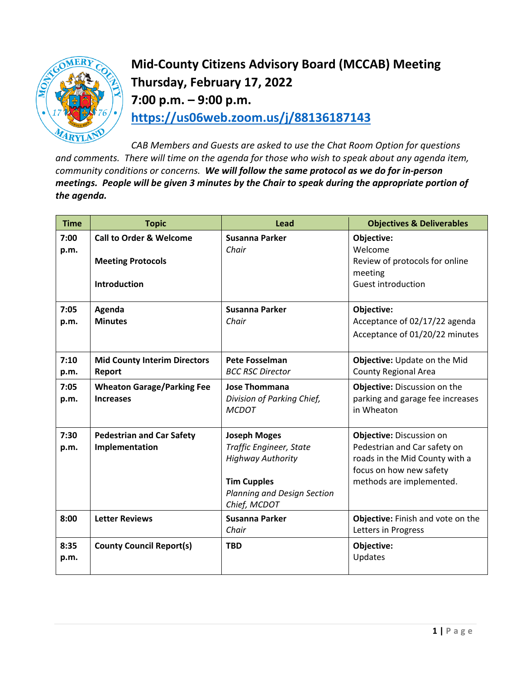

## **Mid-County Citizens Advisory Board (MCCAB) Meeting Thursday, February 17, 2022 7:00 p.m. – 9:00 p.m. <https://us06web.zoom.us/j/88136187143>**

*CAB Members and Guests are asked to use the Chat Room Option for questions and comments. There will time on the agenda for those who wish to speak about any agenda item, community conditions or concerns. We will follow the same protocol as we do for in-person meetings. People will be given 3 minutes by the Chair to speak during the appropriate portion of the agenda.* 

| <b>Time</b>  | <b>Topic</b>                                                                          | <b>Lead</b>                                                                                                                                     | <b>Objectives &amp; Deliverables</b>                                                                                                              |
|--------------|---------------------------------------------------------------------------------------|-------------------------------------------------------------------------------------------------------------------------------------------------|---------------------------------------------------------------------------------------------------------------------------------------------------|
| 7:00<br>p.m. | <b>Call to Order &amp; Welcome</b><br><b>Meeting Protocols</b><br><b>Introduction</b> | Susanna Parker<br>Chair                                                                                                                         | Objective:<br>Welcome<br>Review of protocols for online<br>meeting<br><b>Guest introduction</b>                                                   |
| 7:05<br>p.m. | Agenda<br><b>Minutes</b>                                                              | Susanna Parker<br>Chair                                                                                                                         | Objective:<br>Acceptance of 02/17/22 agenda                                                                                                       |
|              |                                                                                       |                                                                                                                                                 | Acceptance of 01/20/22 minutes                                                                                                                    |
| 7:10<br>p.m. | <b>Mid County Interim Directors</b><br>Report                                         | <b>Pete Fosselman</b><br><b>BCC RSC Director</b>                                                                                                | Objective: Update on the Mid<br><b>County Regional Area</b>                                                                                       |
| 7:05<br>p.m. | <b>Wheaton Garage/Parking Fee</b><br><b>Increases</b>                                 | <b>Jose Thommana</b><br>Division of Parking Chief,<br><b>MCDOT</b>                                                                              | Objective: Discussion on the<br>parking and garage fee increases<br>in Wheaton                                                                    |
| 7:30<br>p.m. | <b>Pedestrian and Car Safety</b><br>Implementation                                    | <b>Joseph Moges</b><br>Traffic Engineer, State<br><b>Highway Authority</b><br><b>Tim Cupples</b><br>Planning and Design Section<br>Chief, MCDOT | Objective: Discussion on<br>Pedestrian and Car safety on<br>roads in the Mid County with a<br>focus on how new safety<br>methods are implemented. |
| 8:00         | <b>Letter Reviews</b>                                                                 | Susanna Parker<br>Chair                                                                                                                         | Objective: Finish and vote on the<br>Letters in Progress                                                                                          |
| 8:35<br>p.m. | <b>County Council Report(s)</b>                                                       | <b>TBD</b>                                                                                                                                      | Objective:<br>Updates                                                                                                                             |